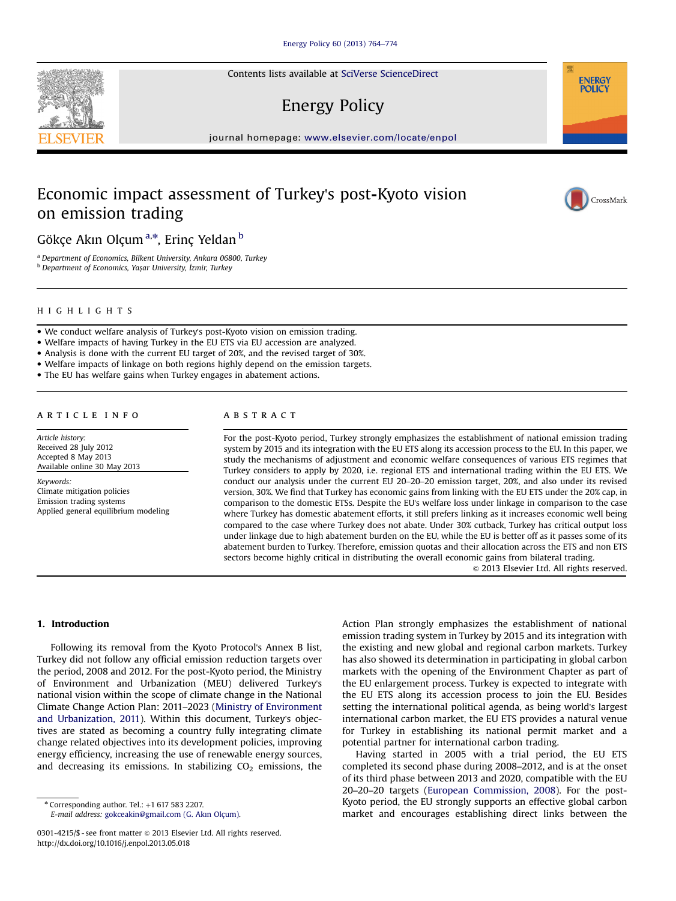Contents lists available at SciVerse ScienceDirect

# Energy Policy

 $j$ 

## Economic impact assessment of Turkey's post-Kyoto vision on emission trading

Gökçe Akın Olçum<sup>a,\*</sup>, Erinç Yeldan <sup>b</sup>

<sup>a</sup> Department of Economics, Bilkent University, Ankara 06800, Turkey <sup>b</sup> Department of Economics, Yaşar University, İzmir, Turkey

### HIGHLIGHTS

- We conduct welfare analysis of Turkey's post-Kyoto vision on emission trading.
- Welfare impacts of having Turkey in the EU ETS via EU accession are analyzed.
- Analysis is done with the current EU target of 20%, and the revised target of 30%.
- Welfare impacts of linkage on both regions highly depend on the emission targets.
- The EU has welfare gains when Turkey engages in abatement actions.

#### article info

Article history: Received 28 July 2012 Accepted 8 May 2013 Available online 30 May 2013

Keywords: Climate mitigation policies Emission trading systems Applied general equilibrium modeling

### **ABSTRACT**

For the post-Kyoto period, Turkey strongly emphasizes the establishment of national emission trading system by 2015 and its integration with the EU ETS along its accession process to the EU. In this paper, we study the mechanisms of adjustment and economic welfare consequences of various ETS regimes that Turkey considers to apply by 2020, i.e. regional ETS and international trading within the EU ETS. We conduct our analysis under the current EU 20–20–20 emission target, 20%, and also under its revised version, 30%. We find that Turkey has economic gains from linking with the EU ETS under the 20% cap, in comparison to the domestic ETSs. Despite the EU's welfare loss under linkage in comparison to the case where Turkey has domestic abatement efforts, it still prefers linking as it increases economic well being compared to the case where Turkey does not abate. Under 30% cutback, Turkey has critical output loss under linkage due to high abatement burden on the EU, while the EU is better off as it passes some of its abatement burden to Turkey. Therefore, emission quotas and their allocation across the ETS and non ETS sectors become highly critical in distributing the overall economic gains from bilateral trading.

 $©$  2013 Elsevier Ltd. All rights reserved.

#### 1. Introduction

Following its removal from the Kyoto Protocol's Annex B list, Turkey did not follow any official emission reduction targets over the period, 2008 and 2012. For the post-Kyoto period, the Ministry of Environment and Urbanization (MEU) delivered Turkey's national vision within the scope of climate change in the National Climate Change Action Plan: 2011–2023 ([Ministry of Environment](#page--1-0) [and Urbanization, 2011](#page--1-0)). Within this document, Turkey's objectives are stated as becoming a country fully integrating climate change related objectives into its development policies, improving energy efficiency, increasing the use of renewable energy sources, and decreasing its emissions. In stabilizing  $CO<sub>2</sub>$  emissions, the

E-mail address: [gokceakin@gmail.com \(G. Ak](mailto:gokceakin@gmail.com)ın Olçum).

Action Plan strongly emphasizes the establishment of national emission trading system in Turkey by 2015 and its integration with the existing and new global and regional carbon markets. Turkey has also showed its determination in participating in global carbon markets with the opening of the Environment Chapter as part of the EU enlargement process. Turkey is expected to integrate with the EU ETS along its accession process to join the EU. Besides setting the international political agenda, as being world's largest international carbon market, the EU ETS provides a natural venue for Turkey in establishing its national permit market and a potential partner for international carbon trading.

Having started in 2005 with a trial period, the EU ETS completed its second phase during 2008–2012, and is at the onset of its third phase between 2013 and 2020, compatible with the EU 20–20–20 targets ([European Commission, 2008\)](#page--1-0). For the post-Kyoto period, the EU strongly supports an effective global carbon market and encourages establishing direct links between the





**ENERGY POLICY** 

 $*$  Corresponding author. Tel.:  $+1$  617 583 2207.

<sup>0301-4215/\$ -</sup> see front matter @ 2013 Elsevier Ltd. All rights reserved. <http://dx.doi.org/10.1016/j.enpol.2013.05.018>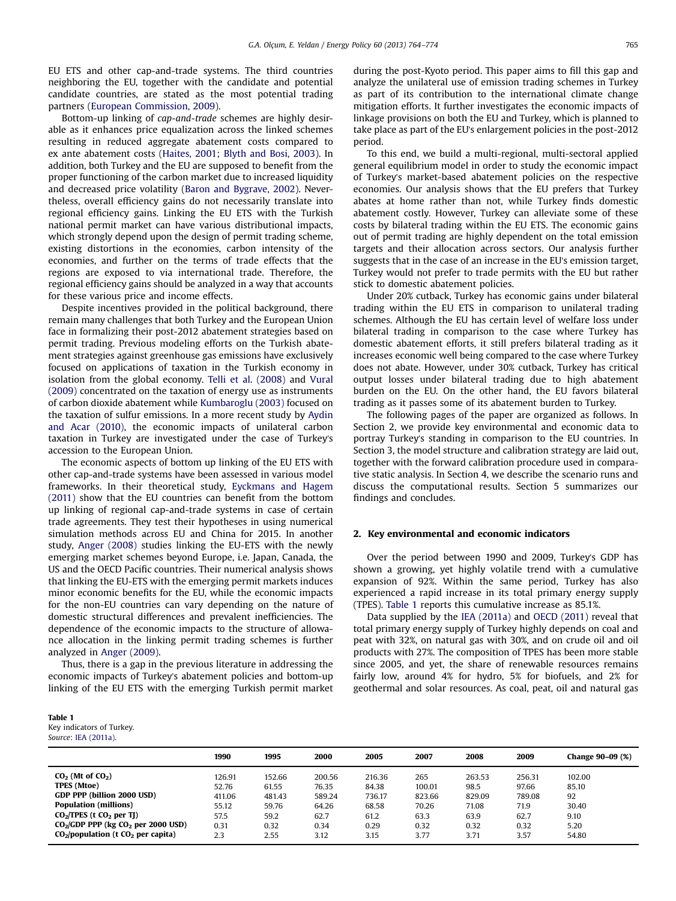EU ETS and other cap-and-trade systems. The third countries neighboring the EU, together with the candidate and potential candidate countries, are stated as the most potential trading partners [\(European Commission, 2009](#page--1-0)).

Bottom-up linking of cap-and-trade schemes are highly desirable as it enhances price equalization across the linked schemes resulting in reduced aggregate abatement costs compared to ex ante abatement costs [\(Haites, 2001](#page--1-0); [Blyth and Bosi, 2003\)](#page--1-0). In addition, both Turkey and the EU are supposed to benefit from the proper functioning of the carbon market due to increased liquidity and decreased price volatility [\(Baron and Bygrave, 2002](#page--1-0)). Nevertheless, overall efficiency gains do not necessarily translate into regional efficiency gains. Linking the EU ETS with the Turkish national permit market can have various distributional impacts, which strongly depend upon the design of permit trading scheme, existing distortions in the economies, carbon intensity of the economies, and further on the terms of trade effects that the regions are exposed to via international trade. Therefore, the regional efficiency gains should be analyzed in a way that accounts for these various price and income effects.

Despite incentives provided in the political background, there remain many challenges that both Turkey and the European Union face in formalizing their post-2012 abatement strategies based on permit trading. Previous modeling efforts on the Turkish abatement strategies against greenhouse gas emissions have exclusively focused on applications of taxation in the Turkish economy in isolation from the global economy. [Telli et al. \(2008\)](#page--1-0) and [Vural](#page--1-0) [\(2009\)](#page--1-0) concentrated on the taxation of energy use as instruments of carbon dioxide abatement while [Kumbaroglu \(2003\)](#page--1-0) focused on the taxation of sulfur emissions. In a more recent study by [Aydin](#page--1-0) [and Acar \(2010\)](#page--1-0), the economic impacts of unilateral carbon taxation in Turkey are investigated under the case of Turkey's accession to the European Union.

The economic aspects of bottom up linking of the EU ETS with other cap-and-trade systems have been assessed in various model frameworks. In their theoretical study, [Eyckmans and Hagem](#page--1-0) [\(2011\)](#page--1-0) show that the EU countries can benefit from the bottom up linking of regional cap-and-trade systems in case of certain trade agreements. They test their hypotheses in using numerical simulation methods across EU and China for 2015. In another study, [Anger \(2008\)](#page--1-0) studies linking the EU-ETS with the newly emerging market schemes beyond Europe, i.e. Japan, Canada, the US and the OECD Pacific countries. Their numerical analysis shows that linking the EU-ETS with the emerging permit markets induces minor economic benefits for the EU, while the economic impacts for the non-EU countries can vary depending on the nature of domestic structural differences and prevalent inefficiencies. The dependence of the economic impacts to the structure of allowance allocation in the linking permit trading schemes is further analyzed in [Anger \(2009\).](#page--1-0)

Thus, there is a gap in the previous literature in addressing the economic impacts of Turkey's abatement policies and bottom-up linking of the EU ETS with the emerging Turkish permit market during the post-Kyoto period. This paper aims to fill this gap and analyze the unilateral use of emission trading schemes in Turkey as part of its contribution to the international climate change mitigation efforts. It further investigates the economic impacts of linkage provisions on both the EU and Turkey, which is planned to take place as part of the EU's enlargement policies in the post-2012 period.

To this end, we build a multi-regional, multi-sectoral applied general equilibrium model in order to study the economic impact of Turkey's market-based abatement policies on the respective economies. Our analysis shows that the EU prefers that Turkey abates at home rather than not, while Turkey finds domestic abatement costly. However, Turkey can alleviate some of these costs by bilateral trading within the EU ETS. The economic gains out of permit trading are highly dependent on the total emission targets and their allocation across sectors. Our analysis further suggests that in the case of an increase in the EU's emission target, Turkey would not prefer to trade permits with the EU but rather stick to domestic abatement policies.

Under 20% cutback, Turkey has economic gains under bilateral trading within the EU ETS in comparison to unilateral trading schemes. Although the EU has certain level of welfare loss under bilateral trading in comparison to the case where Turkey has domestic abatement efforts, it still prefers bilateral trading as it increases economic well being compared to the case where Turkey does not abate. However, under 30% cutback, Turkey has critical output losses under bilateral trading due to high abatement burden on the EU. On the other hand, the EU favors bilateral trading as it passes some of its abatement burden to Turkey.

The following pages of the paper are organized as follows. In Section 2, we provide key environmental and economic data to portray Turkey's standing in comparison to the EU countries. In Section 3, the model structure and calibration strategy are laid out, together with the forward calibration procedure used in comparative static analysis. In Section 4, we describe the scenario runs and discuss the computational results. Section 5 summarizes our findings and concludes.

#### 2. Key environmental and economic indicators

Over the period between 1990 and 2009, Turkey's GDP has shown a growing, yet highly volatile trend with a cumulative expansion of 92%. Within the same period, Turkey has also experienced a rapid increase in its total primary energy supply (TPES). Table 1 reports this cumulative increase as 85.1%.

Data supplied by the [IEA \(2011a\)](#page--1-0) and [OECD \(2011\)](#page--1-0) reveal that total primary energy supply of Turkey highly depends on coal and peat with 32%, on natural gas with 30%, and on crude oil and oil products with 27%. The composition of TPES has been more stable since 2005, and yet, the share of renewable resources remains fairly low, around 4% for hydro, 5% for biofuels, and 2% for geothermal and solar resources. As coal, peat, oil and natural gas

| Table 1 |  |                           |
|---------|--|---------------------------|
|         |  | Key indicators of Turkey. |

Source: [IEA \(2011a\)](#page--1-0).

|                                       | 1990   | 1995   | 2000   | 2005   | 2007   | 2008   | 2009   | Change 90–09 (%) |
|---------------------------------------|--------|--------|--------|--------|--------|--------|--------|------------------|
| $CO2$ (Mt of $CO2$ )                  | 126.91 | 152.66 | 200.56 | 216.36 | 265    | 263.53 | 256.31 | 102.00           |
| <b>TPES</b> (Mtoe)                    | 52.76  | 61.55  | 76.35  | 84.38  | 100.01 | 98.5   | 97.66  | 85.10            |
| GDP PPP (billion 2000 USD)            | 411.06 | 481.43 | 589.24 | 736.17 | 823.66 | 829.09 | 789.08 | 92               |
| <b>Population (millions)</b>          | 55.12  | 59.76  | 64.26  | 68.58  | 70.26  | 71.08  | 71.9   | 30.40            |
| $CO2/TPES$ (t $CO2$ per TJ)           | 57.5   | 59.2   | 62.7   | 61.2   | 63.3   | 63.9   | 62.7   | 9.10             |
| $CO2/GDP$ PPP (kg $CO2$ per 2000 USD) | 0.31   | 0.32   | 0.34   | 0.29   | 0.32   | 0.32   | 0.32   | 5.20             |
| $CO2/population$ (t $CO2$ per capita) | 2.3    | 2.55   | 3.12   | 3.15   | 3.77   | 3.71   | 3.57   | 54.80            |